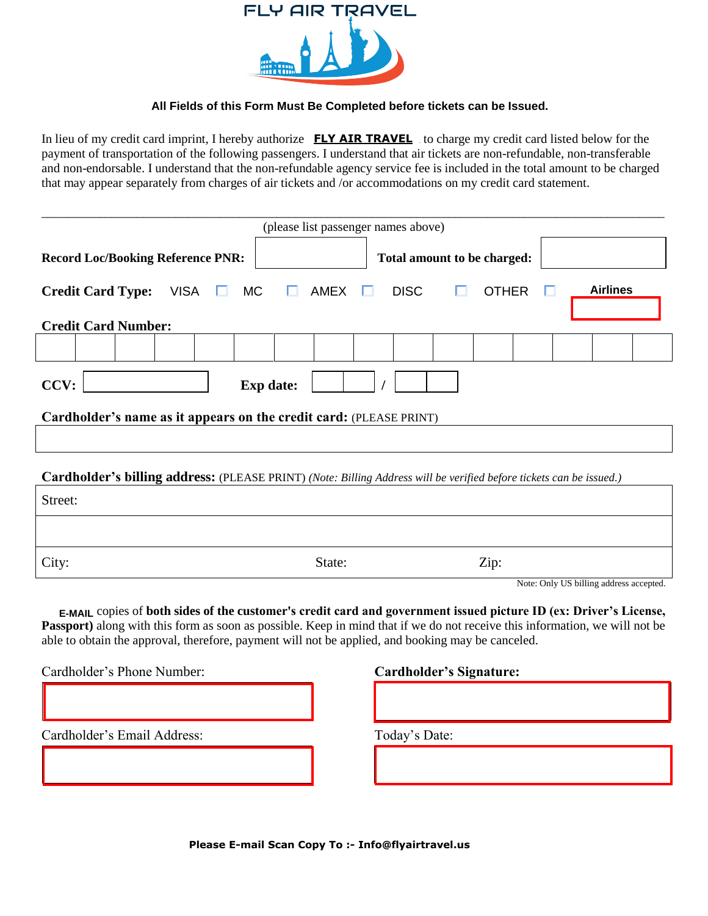

## All Fields of this Form Must Be Completed before tickets can be Issued.

In lieu of my credit card imprint, I hereby authorize **FLY AIR TRAVEL** to charge my credit card listed below for the payment of transportation of the following passengers. I understand that air tickets are non-refundable, non-transferable and non-endorsable. I understand that the non-refundable agency service fee is included in the total amount to be charged that may appear separately from charges of air tickets and /or accommodations on my credit card statement.

| (please list passenger names above)                                                                                 |   |                             |             |  |              |  |  |                 |  |
|---------------------------------------------------------------------------------------------------------------------|---|-----------------------------|-------------|--|--------------|--|--|-----------------|--|
| <b>Record Loc/Booking Reference PNR:</b>                                                                            |   | Total amount to be charged: |             |  |              |  |  |                 |  |
| $VISA \t M$<br><b>Credit Card Type:</b>                                                                             | ш | AMEX $\Box$                 | <b>DISC</b> |  | <b>OTHER</b> |  |  | <b>Airlines</b> |  |
| <b>Credit Card Number:</b>                                                                                          |   |                             |             |  |              |  |  |                 |  |
|                                                                                                                     |   |                             |             |  |              |  |  |                 |  |
| CCV:<br><b>Exp</b> date:                                                                                            |   |                             |             |  |              |  |  |                 |  |
| Cardholder's name as it appears on the credit card: (PLEASE PRINT)                                                  |   |                             |             |  |              |  |  |                 |  |
|                                                                                                                     |   |                             |             |  |              |  |  |                 |  |
| Cardholder's billing address: (PLEASE PRINT) (Note: Billing Address will be verified before tickets can be issued.) |   |                             |             |  |              |  |  |                 |  |

| Street: |        |                                                   |
|---------|--------|---------------------------------------------------|
|         |        |                                                   |
| City:   | State: | Zip:                                              |
|         |        | 11.701.701.717.711<br>$\sim$ $\sim$ $\sim$ $\sim$ |

Note: Only US billing address accepted.

E-MAIL copies of both sides of the customer's credit card and government issued picture ID (ex: Driver's License, **Passport**) along with this form as soon as possible. Keep in mind that if we do not receive this information, we will not be able to obtain the approval, therefore, payment will not be applied, and booking may be canceled.

Cardholder's Phone Number: **Cardholder's Signature:**

Cardholder's Email Address: Today's Date:

**Please E-mail Scan Copy To :- Info@flyairtravel.us** Please call 1-800-760-8898 to confirm this ticket order.